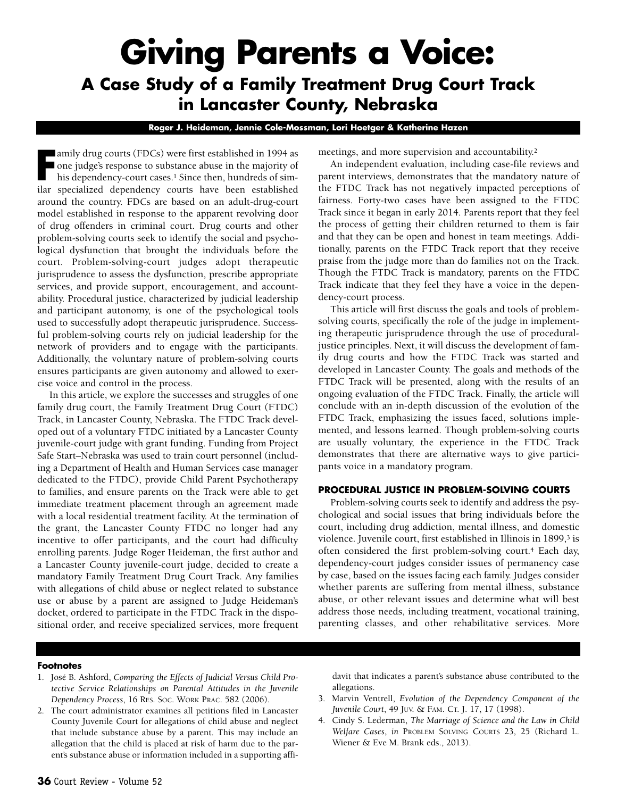# **Giving Parents a Voice: A Case Study of a Family Treatment Drug Court Track in Lancaster County, Nebraska**

**Roger J. Heideman, Jennie Cole-Mossman, Lori Hoetger & Katherine Hazen**

**F** amily drug courts (FDCs) were first established in 1994 as<br>
one judge's response to substance abuse in the majority of<br>
his dependency-court cases.<sup>1</sup> Since then, hundreds of sim-<br>
ilar specialized, dependency, courts, one judge's response to substance abuse in the majority of his dependency-court cases.<sup>1</sup> Since then, hundreds of similar specialized dependency courts have been established around the country. FDCs are based on an adult-drug-court model established in response to the apparent revolving door of drug offenders in criminal court. Drug courts and other problem-solving courts seek to identify the social and psychological dysfunction that brought the individuals before the court. Problem-solving-court judges adopt therapeutic jurisprudence to assess the dysfunction, prescribe appropriate services, and provide support, encouragement, and accountability. Procedural justice, characterized by judicial leadership and participant autonomy, is one of the psychological tools used to successfully adopt therapeutic jurisprudence. Successful problem-solving courts rely on judicial leadership for the network of providers and to engage with the participants. Additionally, the voluntary nature of problem-solving courts ensures participants are given autonomy and allowed to exercise voice and control in the process.

In this article, we explore the successes and struggles of one family drug court, the Family Treatment Drug Court (FTDC) Track, in Lancaster County, Nebraska. The FTDC Track developed out of a voluntary FTDC initiated by a Lancaster County juvenile-court judge with grant funding. Funding from Project Safe Start–Nebraska was used to train court personnel (including a Department of Health and Human Services case manager dedicated to the FTDC), provide Child Parent Psychotherapy to families, and ensure parents on the Track were able to get immediate treatment placement through an agreement made with a local residential treatment facility. At the termination of the grant, the Lancaster County FTDC no longer had any incentive to offer participants, and the court had difficulty enrolling parents. Judge Roger Heideman, the first author and a Lancaster County juvenile-court judge, decided to create a mandatory Family Treatment Drug Court Track. Any families with allegations of child abuse or neglect related to substance use or abuse by a parent are assigned to Judge Heideman's docket, ordered to participate in the FTDC Track in the dispositional order, and receive specialized services, more frequent meetings, and more supervision and accountability.2

An independent evaluation, including case-file reviews and parent interviews, demonstrates that the mandatory nature of the FTDC Track has not negatively impacted perceptions of fairness. Forty-two cases have been assigned to the FTDC Track since it began in early 2014. Parents report that they feel the process of getting their children returned to them is fair and that they can be open and honest in team meetings. Additionally, parents on the FTDC Track report that they receive praise from the judge more than do families not on the Track. Though the FTDC Track is mandatory, parents on the FTDC Track indicate that they feel they have a voice in the dependency-court process.

This article will first discuss the goals and tools of problemsolving courts, specifically the role of the judge in implementing therapeutic jurisprudence through the use of proceduraljustice principles. Next, it will discuss the development of family drug courts and how the FTDC Track was started and developed in Lancaster County. The goals and methods of the FTDC Track will be presented, along with the results of an ongoing evaluation of the FTDC Track. Finally, the article will conclude with an in-depth discussion of the evolution of the FTDC Track, emphasizing the issues faced, solutions implemented, and lessons learned. Though problem-solving courts are usually voluntary, the experience in the FTDC Track demonstrates that there are alternative ways to give participants voice in a mandatory program.

## **PROCEDURAL JUSTICE IN PROBLEM-SOLVING COURTS**

Problem-solving courts seek to identify and address the psychological and social issues that bring individuals before the court, including drug addiction, mental illness, and domestic violence. Juvenile court, first established in Illinois in 1899,<sup>3</sup> is often considered the first problem-solving court.4 Each day, dependency-court judges consider issues of permanency case by case, based on the issues facing each family. Judges consider whether parents are suffering from mental illness, substance abuse, or other relevant issues and determine what will best address those needs, including treatment, vocational training, parenting classes, and other rehabilitative services. More

#### **Footnotes**

- 1. José B. Ashford, *Comparing the Effects of Judicial Versus Child Protective Service Relationships on Parental Attitudes in the Juvenile Dependency Process*, 16 RES. SOC. WORK PRAC. 582 (2006).
- 2. The court administrator examines all petitions filed in Lancaster County Juvenile Court for allegations of child abuse and neglect that include substance abuse by a parent. This may include an allegation that the child is placed at risk of harm due to the parent's substance abuse or information included in a supporting affi-

davit that indicates a parent's substance abuse contributed to the allegations.

- 3. Marvin Ventrell, *Evolution of the Dependency Component of the Juvenile Court*, 49 JUV. & FAM. CT. J. 17, 17 (1998).
- 4. Cindy S. Lederman, *The Marriage of Science and the Law in Child Welfare Cases*, *in* PROBLEM SOLVING COURTS 23, 25 (Richard L. Wiener & Eve M. Brank eds., 2013).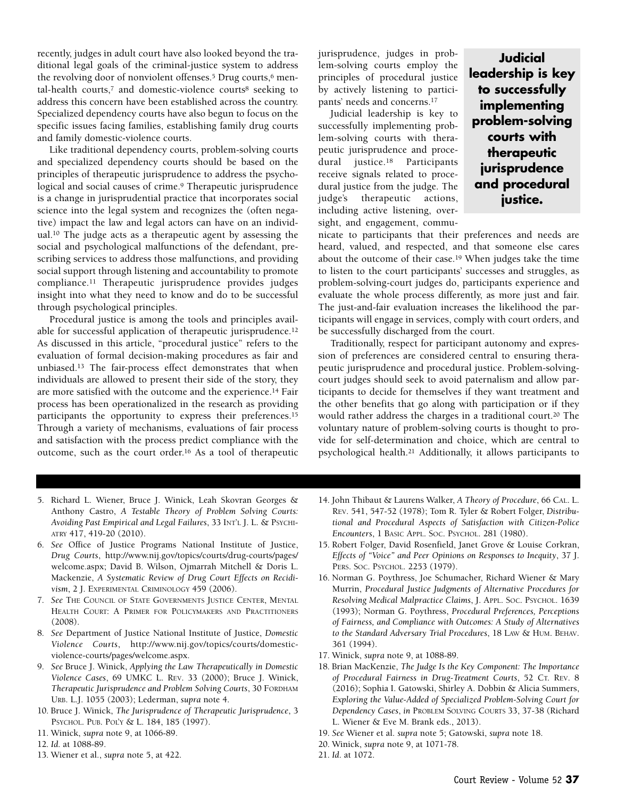recently, judges in adult court have also looked beyond the traditional legal goals of the criminal-justice system to address the revolving door of nonviolent offenses.<sup>5</sup> Drug courts,<sup>6</sup> mental-health courts,7 and domestic-violence courts8 seeking to address this concern have been established across the country. Specialized dependency courts have also begun to focus on the specific issues facing families, establishing family drug courts and family domestic-violence courts.

Like traditional dependency courts, problem-solving courts and specialized dependency courts should be based on the principles of therapeutic jurisprudence to address the psychological and social causes of crime.<sup>9</sup> Therapeutic jurisprudence is a change in jurisprudential practice that incorporates social science into the legal system and recognizes the (often negative) impact the law and legal actors can have on an individual.10 The judge acts as a therapeutic agent by assessing the social and psychological malfunctions of the defendant, prescribing services to address those malfunctions, and providing social support through listening and accountability to promote compliance.11 Therapeutic jurisprudence provides judges insight into what they need to know and do to be successful through psychological principles.

Procedural justice is among the tools and principles available for successful application of therapeutic jurisprudence.12 As discussed in this article, "procedural justice" refers to the evaluation of formal decision-making procedures as fair and unbiased.13 The fair-process effect demonstrates that when individuals are allowed to present their side of the story, they are more satisfied with the outcome and the experience.14 Fair process has been operationalized in the research as providing participants the opportunity to express their preferences.15 Through a variety of mechanisms, evaluations of fair process and satisfaction with the process predict compliance with the outcome, such as the court order.16 As a tool of therapeutic jurisprudence, judges in problem-solving courts employ the principles of procedural justice by actively listening to participants' needs and concerns.17

Judicial leadership is key to successfully implementing problem-solving courts with therapeutic jurisprudence and procedural justice.18 Participants receive signals related to procedural justice from the judge. The judge's therapeutic actions, including active listening, oversight, and engagement, commu-

**Judicial leadership is key to successfully implementing problem-solving courts with therapeutic jurisprudence and procedural justice.**

nicate to participants that their preferences and needs are heard, valued, and respected, and that someone else cares about the outcome of their case.19 When judges take the time to listen to the court participants' successes and struggles, as problem-solving-court judges do, participants experience and evaluate the whole process differently, as more just and fair. The just-and-fair evaluation increases the likelihood the participants will engage in services, comply with court orders, and be successfully discharged from the court.

Traditionally, respect for participant autonomy and expression of preferences are considered central to ensuring therapeutic jurisprudence and procedural justice. Problem-solvingcourt judges should seek to avoid paternalism and allow participants to decide for themselves if they want treatment and the other benefits that go along with participation or if they would rather address the charges in a traditional court.20 The voluntary nature of problem-solving courts is thought to provide for self-determination and choice, which are central to psychological health.21 Additionally, it allows participants to

- 5. Richard L. Wiener, Bruce J. Winick, Leah Skovran Georges & Anthony Castro, *A Testable Theory of Problem Solving Courts: Avoiding Past Empirical and Legal Failures*, 33 INT'L J. L. & PSYCHI-ATRY 417, 419-20 (2010).
- 6. *See* Office of Justice Programs National Institute of Justice, *Drug Courts*, [http://www.nij.gov/topics/courts/drug-courts/pages/](http://www.nij.gov/topics/courts/drug-courts/pages/welcome.aspx) [welcome.aspx;](http://www.nij.gov/topics/courts/drug-courts/pages/welcome.aspx) David B. Wilson, Ojmarrah Mitchell & Doris L. Mackenzie, *A Systematic Review of Drug Court Effects on Recidivism*, 2 J. EXPERIMENTAL CRIMINOLOGY 459 (2006).
- 7. *See* THE COUNCIL OF STATE GOVERNMENTS JUSTICE CENTER, MENTAL HEALTH COURT: A PRIMER FOR POLICYMAKERS AND PRACTITIONERS (2008).
- 8. *See* Department of Justice National Institute of Justice, *Domestic Violence Courts*, [http://www.nij.gov/topics/courts/domestic](http://www.nij.gov/topics/courts/domestic-violence-courts/pages/welcome.aspx)[violence-courts/pages/welcome.aspx.](http://www.nij.gov/topics/courts/domestic-violence-courts/pages/welcome.aspx)
- 9. *See* Bruce J. Winick, *Applying the Law Therapeutically in Domestic Violence Cases*, 69 UMKC L. REV. 33 (2000); Bruce J. Winick, *Therapeutic Jurisprudence and Problem Solving Courts*, 30 FORDHAM URB. L.J. 1055 (2003); Lederman, *supra* note 4.
- 10. Bruce J. Winick, *The Jurisprudence of Therapeutic Jurisprudence*, 3 PSYCHOL. PUB. POL'Y & L. 184, 185 (1997).
- 11. Winick, *supra* note 9, at 1066-89.
- 12. *Id*. at 1088-89.
- 13. Wiener et al., *supra* note 5, at 422.
- 14. John Thibaut & Laurens Walker, *A Theory of Procedure*, 66 CAL. L. REV. 541, 547-52 (1978); Tom R. Tyler & Robert Folger, *Distributional and Procedural Aspects of Satisfaction with Citizen-Police Encounters*, 1 BASIC APPL. SOC. PSYCHOL. 281 (1980).
- 15. Robert Folger, David Rosenfield, Janet Grove & Louise Corkran, *Effects of "Voice" and Peer Opinions on Responses to Inequity*, 37 J. PERS. SOC. PSYCHOL. 2253 (1979).
- 16. Norman G. Poythress, Joe Schumacher, Richard Wiener & Mary Murrin, *Procedural Justice Judgments of Alternative Procedures for Resolving Medical Malpractice Claims*, J. APPL. SOC. PSYCHOL. 1639 (1993); Norman G. Poythress, *Procedural Preferences, Perceptions of Fairness, and Compliance with Outcomes: A Study of Alternatives to the Standard Adversary Trial Procedures*, 18 LAW & HUM. BEHAV. 361 (1994).
- 17. Winick, *supra* note 9, at 1088-89.
- 18. Brian MacKenzie, *The Judge Is the Key Component: The Importance of Procedural Fairness in Drug-Treatment Courts*, 52 CT. REV. 8 (2016); Sophia I. Gatowski, Shirley A. Dobbin & Alicia Summers, *Exploring the Value-Added of Specialized Problem-Solving Court for Dependency Cases*, *in* PROBLEM SOLVING COURTS 33, 37-38 (Richard L. Wiener & Eve M. Brank eds., 2013).
- 19. *See* Wiener et al. *supra* note 5; Gatowski, *supra* note 18.
- 20. Winick, *supra* note 9, at 1071-78.
- 21. *Id*. at 1072.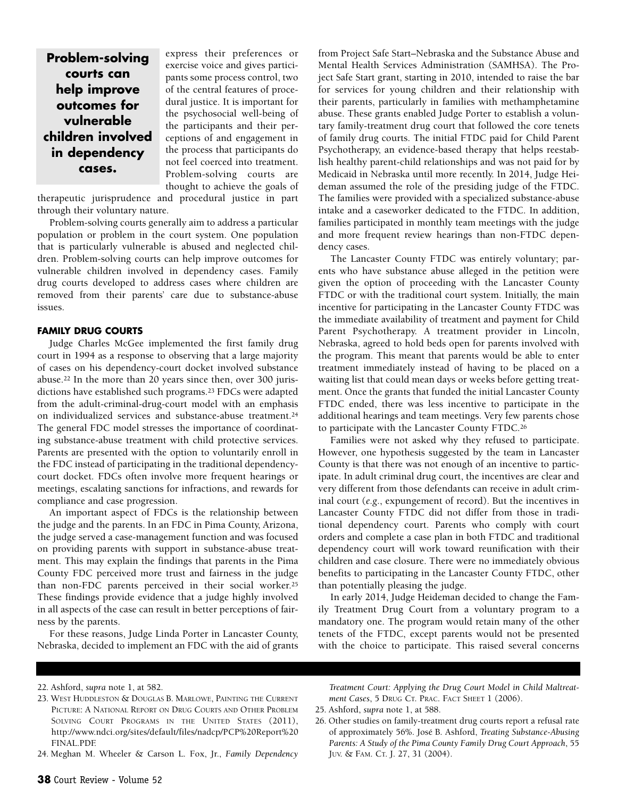**Problem-solving courts can help improve outcomes for vulnerable children involved in dependency cases.**

express their preferences or exercise voice and gives participants some process control, two of the central features of procedural justice. It is important for the psychosocial well-being of the participants and their perceptions of and engagement in the process that participants do not feel coerced into treatment. Problem-solving courts are thought to achieve the goals of

therapeutic jurisprudence and procedural justice in part through their voluntary nature.

Problem-solving courts generally aim to address a particular population or problem in the court system. One population that is particularly vulnerable is abused and neglected children. Problem-solving courts can help improve outcomes for vulnerable children involved in dependency cases. Family drug courts developed to address cases where children are removed from their parents' care due to substance-abuse issues.

## **FAMILY DRUG COURTS**

Judge Charles McGee implemented the first family drug court in 1994 as a response to observing that a large majority of cases on his dependency-court docket involved substance abuse.22 In the more than 20 years since then, over 300 jurisdictions have established such programs.23 FDCs were adapted from the adult-criminal-drug-court model with an emphasis on individualized services and substance-abuse treatment.24 The general FDC model stresses the importance of coordinating substance-abuse treatment with child protective services. Parents are presented with the option to voluntarily enroll in the FDC instead of participating in the traditional dependencycourt docket. FDCs often involve more frequent hearings or meetings, escalating sanctions for infractions, and rewards for compliance and case progression.

An important aspect of FDCs is the relationship between the judge and the parents. In an FDC in Pima County, Arizona, the judge served a case-management function and was focused on providing parents with support in substance-abuse treatment. This may explain the findings that parents in the Pima County FDC perceived more trust and fairness in the judge than non-FDC parents perceived in their social worker.25 These findings provide evidence that a judge highly involved in all aspects of the case can result in better perceptions of fairness by the parents.

For these reasons, Judge Linda Porter in Lancaster County, Nebraska, decided to implement an FDC with the aid of grants from Project Safe Start–Nebraska and the Substance Abuse and Mental Health Services Administration (SAMHSA). The Project Safe Start grant, starting in 2010, intended to raise the bar for services for young children and their relationship with their parents, particularly in families with methamphetamine abuse. These grants enabled Judge Porter to establish a voluntary family-treatment drug court that followed the core tenets of family drug courts. The initial FTDC paid for Child Parent Psychotherapy, an evidence-based therapy that helps reestablish healthy parent-child relationships and was not paid for by Medicaid in Nebraska until more recently. In 2014, Judge Heideman assumed the role of the presiding judge of the FTDC. The families were provided with a specialized substance-abuse intake and a caseworker dedicated to the FTDC. In addition, families participated in monthly team meetings with the judge and more frequent review hearings than non-FTDC dependency cases.

The Lancaster County FTDC was entirely voluntary; parents who have substance abuse alleged in the petition were given the option of proceeding with the Lancaster County FTDC or with the traditional court system. Initially, the main incentive for participating in the Lancaster County FTDC was the immediate availability of treatment and payment for Child Parent Psychotherapy. A treatment provider in Lincoln, Nebraska, agreed to hold beds open for parents involved with the program. This meant that parents would be able to enter treatment immediately instead of having to be placed on a waiting list that could mean days or weeks before getting treatment. Once the grants that funded the initial Lancaster County FTDC ended, there was less incentive to participate in the additional hearings and team meetings. Very few parents chose to participate with the Lancaster County FTDC.26

Families were not asked why they refused to participate. However, one hypothesis suggested by the team in Lancaster County is that there was not enough of an incentive to participate. In adult criminal drug court, the incentives are clear and very different from those defendants can receive in adult criminal court (*e.g*., expungement of record). But the incentives in Lancaster County FTDC did not differ from those in traditional dependency court. Parents who comply with court orders and complete a case plan in both FTDC and traditional dependency court will work toward reunification with their children and case closure. There were no immediately obvious benefits to participating in the Lancaster County FTDC, other than potentially pleasing the judge.

In early 2014, Judge Heideman decided to change the Family Treatment Drug Court from a voluntary program to a mandatory one. The program would retain many of the other tenets of the FTDC, except parents would not be presented with the choice to participate. This raised several concerns

24. Meghan M. Wheeler & Carson L. Fox, Jr., *Family Dependency*

*Treatment Court: Applying the Drug Court Model in Child Maltreatment Cases*, 5 DRUG CT. PRAC. FACT SHEET 1 (2006).

25. Ashford, *supra* note 1, at 588.

<sup>22.</sup> Ashford, *supra* note 1, at 582.

<sup>23.</sup> WEST HUDDLESTON & DOUGLAS B. MARLOWE, PAINTING THE CURRENT PICTURE: A NATIONAL REPORT ON DRUG COURTS AND OTHER PROBLEM SOLVING COURT PROGRAMS IN THE UNITED STATES (2011), http://www.ndci.org/sites/default/files/nadcp/PCP%20Report%20 FINAL.PDF.

<sup>26.</sup> Other studies on family-treatment drug courts report a refusal rate of approximately 56%. José B. Ashford, *Treating Substance-Abusing Parents: A Study of the Pima County Family Drug Court Approach*, 55 JUV. & FAM. CT. J. 27, 31 (2004).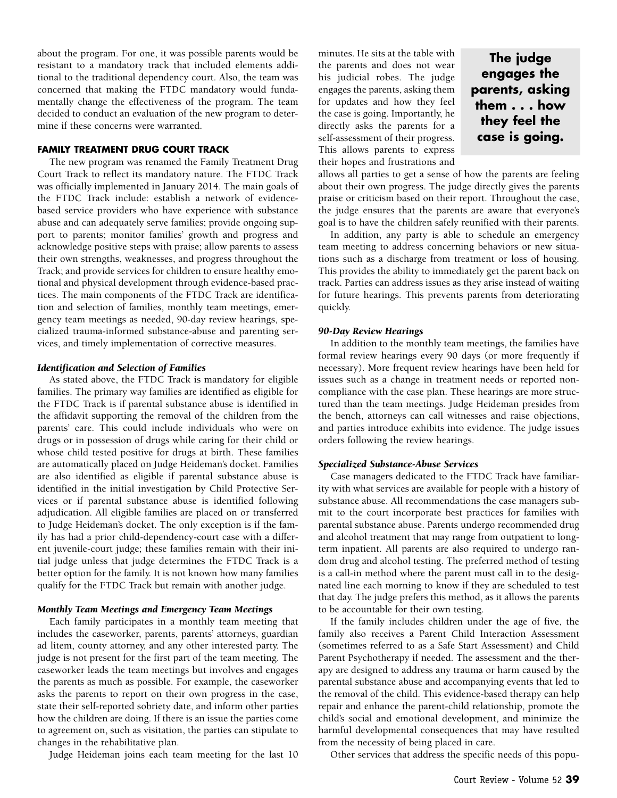about the program. For one, it was possible parents would be resistant to a mandatory track that included elements additional to the traditional dependency court. Also, the team was concerned that making the FTDC mandatory would fundamentally change the effectiveness of the program. The team decided to conduct an evaluation of the new program to determine if these concerns were warranted.

# **FAMILY TREATMENT DRUG COURT TRACK**

The new program was renamed the Family Treatment Drug Court Track to reflect its mandatory nature. The FTDC Track was officially implemented in January 2014. The main goals of the FTDC Track include: establish a network of evidencebased service providers who have experience with substance abuse and can adequately serve families; provide ongoing support to parents; monitor families' growth and progress and acknowledge positive steps with praise; allow parents to assess their own strengths, weaknesses, and progress throughout the Track; and provide services for children to ensure healthy emotional and physical development through evidence-based practices. The main components of the FTDC Track are identification and selection of families, monthly team meetings, emergency team meetings as needed, 90-day review hearings, specialized trauma-informed substance-abuse and parenting services, and timely implementation of corrective measures.

#### *Identification and Selection of Families*

As stated above, the FTDC Track is mandatory for eligible families. The primary way families are identified as eligible for the FTDC Track is if parental substance abuse is identified in the affidavit supporting the removal of the children from the parents' care. This could include individuals who were on drugs or in possession of drugs while caring for their child or whose child tested positive for drugs at birth. These families are automatically placed on Judge Heideman's docket. Families are also identified as eligible if parental substance abuse is identified in the initial investigation by Child Protective Services or if parental substance abuse is identified following adjudication. All eligible families are placed on or transferred to Judge Heideman's docket. The only exception is if the family has had a prior child-dependency-court case with a different juvenile-court judge; these families remain with their initial judge unless that judge determines the FTDC Track is a better option for the family. It is not known how many families qualify for the FTDC Track but remain with another judge.

# *Monthly Team Meetings and Emergency Team Meetings*

Each family participates in a monthly team meeting that includes the caseworker, parents, parents' attorneys, guardian ad litem, county attorney, and any other interested party. The judge is not present for the first part of the team meeting. The caseworker leads the team meetings but involves and engages the parents as much as possible. For example, the caseworker asks the parents to report on their own progress in the case, state their self-reported sobriety date, and inform other parties how the children are doing. If there is an issue the parties come to agreement on, such as visitation, the parties can stipulate to changes in the rehabilitative plan.

Judge Heideman joins each team meeting for the last 10

minutes. He sits at the table with the parents and does not wear his judicial robes. The judge engages the parents, asking them for updates and how they feel the case is going. Importantly, he directly asks the parents for a self-assessment of their progress. This allows parents to express their hopes and frustrations and

**The judge engages the parents, asking them . . . how they feel the case is going.**

allows all parties to get a sense of how the parents are feeling about their own progress. The judge directly gives the parents praise or criticism based on their report. Throughout the case, the judge ensures that the parents are aware that everyone's goal is to have the children safely reunified with their parents.

In addition, any party is able to schedule an emergency team meeting to address concerning behaviors or new situations such as a discharge from treatment or loss of housing. This provides the ability to immediately get the parent back on track. Parties can address issues as they arise instead of waiting for future hearings. This prevents parents from deteriorating quickly.

#### *90-Day Review Hearings*

In addition to the monthly team meetings, the families have formal review hearings every 90 days (or more frequently if necessary). More frequent review hearings have been held for issues such as a change in treatment needs or reported noncompliance with the case plan. These hearings are more structured than the team meetings. Judge Heideman presides from the bench, attorneys can call witnesses and raise objections, and parties introduce exhibits into evidence. The judge issues orders following the review hearings.

#### *Specialized Substance-Abuse Services*

Case managers dedicated to the FTDC Track have familiarity with what services are available for people with a history of substance abuse. All recommendations the case managers submit to the court incorporate best practices for families with parental substance abuse. Parents undergo recommended drug and alcohol treatment that may range from outpatient to longterm inpatient. All parents are also required to undergo random drug and alcohol testing. The preferred method of testing is a call-in method where the parent must call in to the designated line each morning to know if they are scheduled to test that day. The judge prefers this method, as it allows the parents to be accountable for their own testing.

If the family includes children under the age of five, the family also receives a Parent Child Interaction Assessment (sometimes referred to as a Safe Start Assessment) and Child Parent Psychotherapy if needed. The assessment and the therapy are designed to address any trauma or harm caused by the parental substance abuse and accompanying events that led to the removal of the child. This evidence-based therapy can help repair and enhance the parent-child relationship, promote the child's social and emotional development, and minimize the harmful developmental consequences that may have resulted from the necessity of being placed in care.

Other services that address the specific needs of this popu-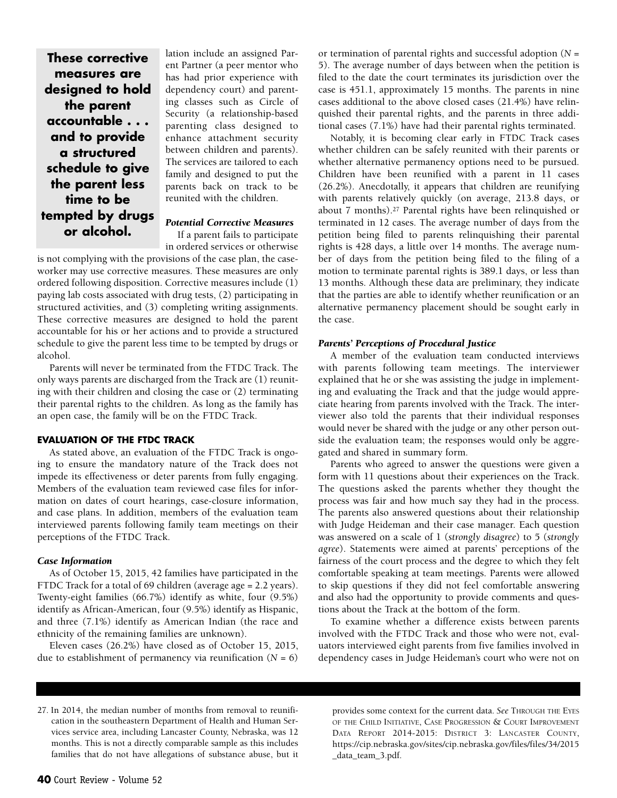**These corrective measures are designed to hold the parent accountable . . . and to provide a structured schedule to give the parent less time to be tempted by drugs or alcohol.**

lation include an assigned Parent Partner (a peer mentor who has had prior experience with dependency court) and parenting classes such as Circle of Security (a relationship-based parenting class designed to enhance attachment security between children and parents). The services are tailored to each family and designed to put the parents back on track to be reunited with the children.

## *Potential Corrective Measures*

If a parent fails to participate in ordered services or otherwise

is not complying with the provisions of the case plan, the caseworker may use corrective measures. These measures are only ordered following disposition. Corrective measures include (1) paying lab costs associated with drug tests, (2) participating in structured activities, and (3) completing writing assignments. These corrective measures are designed to hold the parent accountable for his or her actions and to provide a structured schedule to give the parent less time to be tempted by drugs or alcohol.

Parents will never be terminated from the FTDC Track. The only ways parents are discharged from the Track are (1) reuniting with their children and closing the case or (2) terminating their parental rights to the children. As long as the family has an open case, the family will be on the FTDC Track.

## **EVALUATION OF THE FTDC TRACK**

As stated above, an evaluation of the FTDC Track is ongoing to ensure the mandatory nature of the Track does not impede its effectiveness or deter parents from fully engaging. Members of the evaluation team reviewed case files for information on dates of court hearings, case-closure information, and case plans. In addition, members of the evaluation team interviewed parents following family team meetings on their perceptions of the FTDC Track.

#### *Case Information*

As of October 15, 2015, 42 families have participated in the FTDC Track for a total of 69 children (average age = 2.2 years). Twenty-eight families (66.7%) identify as white, four (9.5%) identify as African-American, four (9.5%) identify as Hispanic, and three (7.1%) identify as American Indian (the race and ethnicity of the remaining families are unknown).

Eleven cases (26.2%) have closed as of October 15, 2015, due to establishment of permanency via reunification (*N* = 6)

or termination of parental rights and successful adoption (*N* = 5). The average number of days between when the petition is filed to the date the court terminates its jurisdiction over the case is 451.1, approximately 15 months. The parents in nine cases additional to the above closed cases (21.4%) have relinquished their parental rights, and the parents in three additional cases (7.1%) have had their parental rights terminated.

Notably, it is becoming clear early in FTDC Track cases whether children can be safely reunited with their parents or whether alternative permanency options need to be pursued. Children have been reunified with a parent in 11 cases (26.2%). Anecdotally, it appears that children are reunifying with parents relatively quickly (on average, 213.8 days, or about 7 months).27 Parental rights have been relinquished or terminated in 12 cases. The average number of days from the petition being filed to parents relinquishing their parental rights is 428 days, a little over 14 months. The average number of days from the petition being filed to the filing of a motion to terminate parental rights is 389.1 days, or less than 13 months. Although these data are preliminary, they indicate that the parties are able to identify whether reunification or an alternative permanency placement should be sought early in the case.

## *Parents' Perceptions of Procedural Justice*

A member of the evaluation team conducted interviews with parents following team meetings. The interviewer explained that he or she was assisting the judge in implementing and evaluating the Track and that the judge would appreciate hearing from parents involved with the Track. The interviewer also told the parents that their individual responses would never be shared with the judge or any other person outside the evaluation team; the responses would only be aggregated and shared in summary form.

Parents who agreed to answer the questions were given a form with 11 questions about their experiences on the Track. The questions asked the parents whether they thought the process was fair and how much say they had in the process. The parents also answered questions about their relationship with Judge Heideman and their case manager. Each question was answered on a scale of 1 (*strongly disagree*) to 5 (*strongly agree*). Statements were aimed at parents' perceptions of the fairness of the court process and the degree to which they felt comfortable speaking at team meetings. Parents were allowed to skip questions if they did not feel comfortable answering and also had the opportunity to provide comments and questions about the Track at the bottom of the form.

To examine whether a difference exists between parents involved with the FTDC Track and those who were not, evaluators interviewed eight parents from five families involved in dependency cases in Judge Heideman's court who were not on

27. In 2014, the median number of months from removal to reunification in the southeastern Department of Health and Human Services service area, including Lancaster County, Nebraska, was 12 months. This is not a directly comparable sample as this includes families that do not have allegations of substance abuse, but it

provides some context for the current data. *See* THROUGH THE EYES OF THE CHILD INITIATIVE, CASE PROGRESSION & COURT IMPROVEMENT DATA REPORT 2014-2015: DISTRICT 3: LANCASTER COUNTY, https://cip.nebraska.gov/sites/cip.nebraska.gov/files/files/34/2015 \_data\_team\_3.pdf.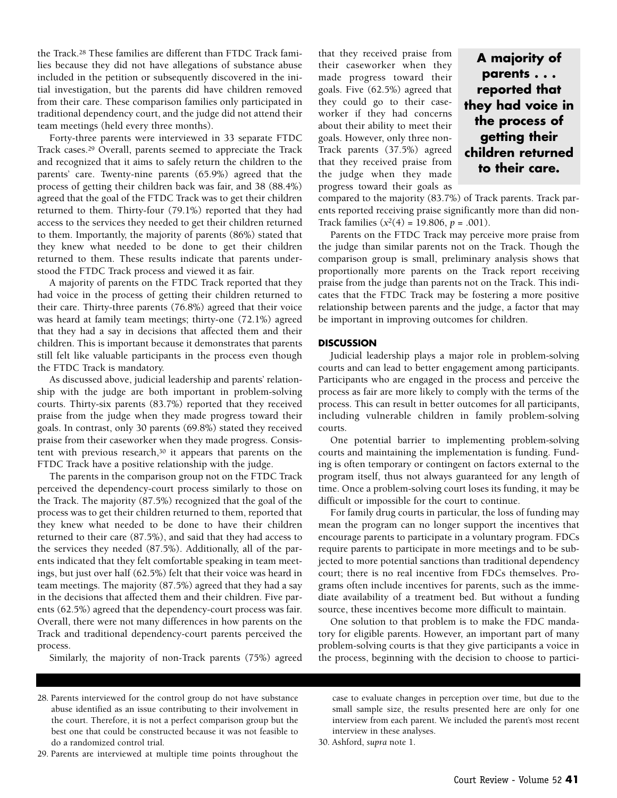the Track.28 These families are different than FTDC Track families because they did not have allegations of substance abuse included in the petition or subsequently discovered in the initial investigation, but the parents did have children removed from their care. These comparison families only participated in traditional dependency court, and the judge did not attend their team meetings (held every three months).

Forty-three parents were interviewed in 33 separate FTDC Track cases.29 Overall, parents seemed to appreciate the Track and recognized that it aims to safely return the children to the parents' care. Twenty-nine parents (65.9%) agreed that the process of getting their children back was fair, and 38 (88.4%) agreed that the goal of the FTDC Track was to get their children returned to them. Thirty-four (79.1%) reported that they had access to the services they needed to get their children returned to them. Importantly, the majority of parents (86%) stated that they knew what needed to be done to get their children returned to them. These results indicate that parents understood the FTDC Track process and viewed it as fair.

A majority of parents on the FTDC Track reported that they had voice in the process of getting their children returned to their care. Thirty-three parents (76.8%) agreed that their voice was heard at family team meetings; thirty-one (72.1%) agreed that they had a say in decisions that affected them and their children. This is important because it demonstrates that parents still felt like valuable participants in the process even though the FTDC Track is mandatory.

As discussed above, judicial leadership and parents' relationship with the judge are both important in problem-solving courts. Thirty-six parents (83.7%) reported that they received praise from the judge when they made progress toward their goals. In contrast, only 30 parents (69.8%) stated they received praise from their caseworker when they made progress. Consistent with previous research,30 it appears that parents on the FTDC Track have a positive relationship with the judge.

The parents in the comparison group not on the FTDC Track perceived the dependency-court process similarly to those on the Track. The majority (87.5%) recognized that the goal of the process was to get their children returned to them, reported that they knew what needed to be done to have their children returned to their care (87.5%), and said that they had access to the services they needed (87.5%). Additionally, all of the parents indicated that they felt comfortable speaking in team meetings, but just over half (62.5%) felt that their voice was heard in team meetings. The majority (87.5%) agreed that they had a say in the decisions that affected them and their children. Five parents (62.5%) agreed that the dependency-court process was fair. Overall, there were not many differences in how parents on the Track and traditional dependency-court parents perceived the process.

Similarly, the majority of non-Track parents (75%) agreed

that they received praise from their caseworker when they made progress toward their goals. Five (62.5%) agreed that they could go to their caseworker if they had concerns about their ability to meet their goals. However, only three non-Track parents (37.5%) agreed that they received praise from the judge when they made progress toward their goals as

**A majority of parents . . . reported that they had voice in the process of getting their children returned to their care.**

compared to the majority (83.7%) of Track parents. Track parents reported receiving praise significantly more than did non-Track families (*x2*(4) = 19.806, *p* = .001).

Parents on the FTDC Track may perceive more praise from the judge than similar parents not on the Track. Though the comparison group is small, preliminary analysis shows that proportionally more parents on the Track report receiving praise from the judge than parents not on the Track. This indicates that the FTDC Track may be fostering a more positive relationship between parents and the judge, a factor that may be important in improving outcomes for children.

## **DISCUSSION**

Judicial leadership plays a major role in problem-solving courts and can lead to better engagement among participants. Participants who are engaged in the process and perceive the process as fair are more likely to comply with the terms of the process. This can result in better outcomes for all participants, including vulnerable children in family problem-solving courts.

One potential barrier to implementing problem-solving courts and maintaining the implementation is funding. Funding is often temporary or contingent on factors external to the program itself, thus not always guaranteed for any length of time. Once a problem-solving court loses its funding, it may be difficult or impossible for the court to continue.

For family drug courts in particular, the loss of funding may mean the program can no longer support the incentives that encourage parents to participate in a voluntary program. FDCs require parents to participate in more meetings and to be subjected to more potential sanctions than traditional dependency court; there is no real incentive from FDCs themselves. Programs often include incentives for parents, such as the immediate availability of a treatment bed. But without a funding source, these incentives become more difficult to maintain.

One solution to that problem is to make the FDC mandatory for eligible parents. However, an important part of many problem-solving courts is that they give participants a voice in the process, beginning with the decision to choose to partici-

28. Parents interviewed for the control group do not have substance abuse identified as an issue contributing to their involvement in the court. Therefore, it is not a perfect comparison group but the best one that could be constructed because it was not feasible to do a randomized control trial.

29. Parents are interviewed at multiple time points throughout the

case to evaluate changes in perception over time, but due to the small sample size, the results presented here are only for one interview from each parent. We included the parent's most recent interview in these analyses.

30. Ashford, *supra* note 1.